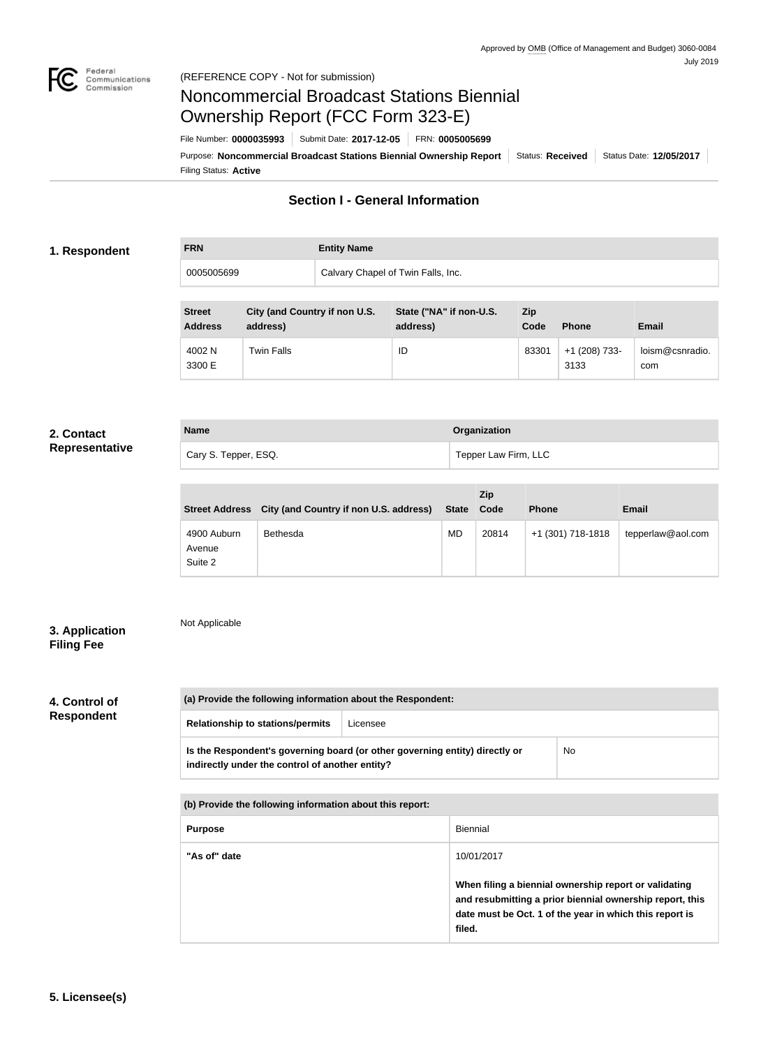

# Noncommercial Broadcast Stations Biennial Ownership Report (FCC Form 323-E)

Filing Status: **Active** Purpose: Noncommercial Broadcast Stations Biennial Ownership Report | Status: Received | Status Date: 12/05/2017 File Number: **0000035993** Submit Date: **2017-12-05** FRN: **0005005699**

## **Section I - General Information**

### **1. Respondent**

# **FRN Entity Name** 0005005699 Calvary Chapel of Twin Falls, Inc.

| <b>Street</b><br><b>Address</b> | City (and Country if non U.S.<br>address) | State ("NA" if non-U.S.<br>address) | <b>Zip</b><br>Code | <b>Phone</b>          | Email                  |
|---------------------------------|-------------------------------------------|-------------------------------------|--------------------|-----------------------|------------------------|
| 4002 N<br>3300 E                | <b>Twin Falls</b>                         | ID                                  | 83301              | +1 (208) 733-<br>3133 | loism@csnradio.<br>com |

# **2. Contact**

| <b>Name</b>          | Organization         |
|----------------------|----------------------|
| Cary S. Tepper, ESQ. | Tepper Law Firm, LLC |

|                                  | Street Address City (and Country if non U.S. address) | State Code | <b>Zip</b> | <b>Phone</b>      | <b>Email</b>      |
|----------------------------------|-------------------------------------------------------|------------|------------|-------------------|-------------------|
| 4900 Auburn<br>Avenue<br>Suite 2 | Bethesda                                              | <b>MD</b>  | 20814      | +1 (301) 718-1818 | tepperlaw@aol.com |

### **3. Application Filing Fee**

## Not Applicable

# **4. Control of**

**Respondent**

| (a) Provide the following information about the Respondent:                                                                    |          |           |  |
|--------------------------------------------------------------------------------------------------------------------------------|----------|-----------|--|
| <b>Relationship to stations/permits</b>                                                                                        | Licensee |           |  |
| Is the Respondent's governing board (or other governing entity) directly or<br>indirectly under the control of another entity? |          | <b>No</b> |  |

| (b) Provide the following information about this report: |                                                                                                                                                                                        |  |
|----------------------------------------------------------|----------------------------------------------------------------------------------------------------------------------------------------------------------------------------------------|--|
| <b>Purpose</b>                                           | <b>Biennial</b>                                                                                                                                                                        |  |
| "As of" date                                             | 10/01/2017                                                                                                                                                                             |  |
|                                                          | When filing a biennial ownership report or validating<br>and resubmitting a prior biennial ownership report, this<br>date must be Oct. 1 of the year in which this report is<br>filed. |  |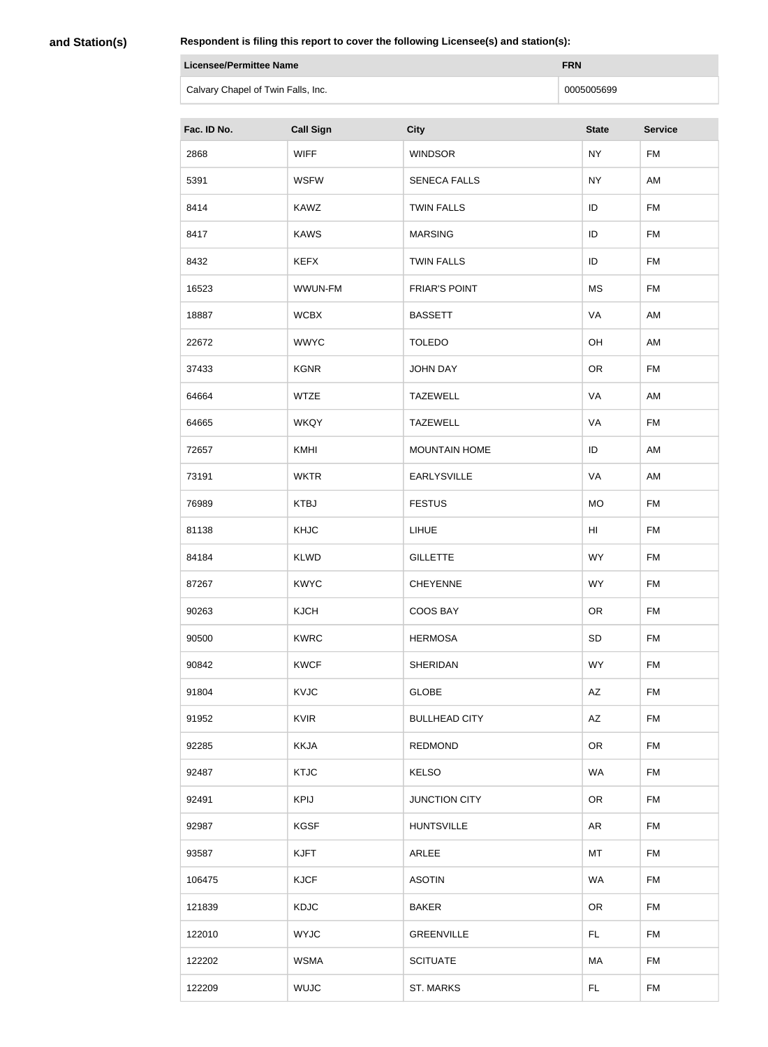**and Station(s)**

| Licensee/Permittee Name            | <b>FRN</b> |
|------------------------------------|------------|
| Calvary Chapel of Twin Falls, Inc. | 0005005699 |

| Fac. ID No. | <b>Call Sign</b> | <b>City</b>          | <b>State</b> | <b>Service</b> |
|-------------|------------------|----------------------|--------------|----------------|
| 2868        | <b>WIFF</b>      | <b>WINDSOR</b>       | <b>NY</b>    | <b>FM</b>      |
| 5391        | <b>WSFW</b>      | <b>SENECA FALLS</b>  | <b>NY</b>    | AM             |
| 8414        | <b>KAWZ</b>      | <b>TWIN FALLS</b>    | ID           | <b>FM</b>      |
| 8417        | <b>KAWS</b>      | <b>MARSING</b>       | ID           | <b>FM</b>      |
| 8432        | <b>KEFX</b>      | <b>TWIN FALLS</b>    | ID           | <b>FM</b>      |
| 16523       | WWUN-FM          | <b>FRIAR'S POINT</b> | <b>MS</b>    | <b>FM</b>      |
| 18887       | <b>WCBX</b>      | <b>BASSETT</b>       | VA           | AM             |
| 22672       | <b>WWYC</b>      | <b>TOLEDO</b>        | OH           | AM             |
| 37433       | <b>KGNR</b>      | <b>JOHN DAY</b>      | <b>OR</b>    | <b>FM</b>      |
| 64664       | <b>WTZE</b>      | <b>TAZEWELL</b>      | VA           | AM             |
| 64665       | <b>WKQY</b>      | <b>TAZEWELL</b>      | VA           | <b>FM</b>      |
| 72657       | KMHI             | <b>MOUNTAIN HOME</b> | ID           | AM             |
| 73191       | <b>WKTR</b>      | <b>EARLYSVILLE</b>   | VA           | AM             |
| 76989       | <b>KTBJ</b>      | <b>FESTUS</b>        | <b>MO</b>    | <b>FM</b>      |
| 81138       | <b>KHJC</b>      | <b>LIHUE</b>         | HI           | <b>FM</b>      |
| 84184       | <b>KLWD</b>      | <b>GILLETTE</b>      | <b>WY</b>    | <b>FM</b>      |
| 87267       | <b>KWYC</b>      | <b>CHEYENNE</b>      | <b>WY</b>    | <b>FM</b>      |
| 90263       | <b>KJCH</b>      | <b>COOS BAY</b>      | <b>OR</b>    | <b>FM</b>      |
| 90500       | <b>KWRC</b>      | <b>HERMOSA</b>       | SD           | <b>FM</b>      |
| 90842       | <b>KWCF</b>      | <b>SHERIDAN</b>      | <b>WY</b>    | <b>FM</b>      |
| 91804       | <b>KVJC</b>      | <b>GLOBE</b>         | AZ           | <b>FM</b>      |
| 91952       | <b>KVIR</b>      | <b>BULLHEAD CITY</b> | AZ           | <b>FM</b>      |
| 92285       | <b>KKJA</b>      | <b>REDMOND</b>       | <b>OR</b>    | <b>FM</b>      |
| 92487       | <b>KTJC</b>      | <b>KELSO</b>         | <b>WA</b>    | <b>FM</b>      |
| 92491       | <b>KPIJ</b>      | <b>JUNCTION CITY</b> | <b>OR</b>    | <b>FM</b>      |
| 92987       | <b>KGSF</b>      | <b>HUNTSVILLE</b>    | <b>AR</b>    | <b>FM</b>      |
| 93587       | <b>KJFT</b>      | <b>ARLEE</b>         | MT           | <b>FM</b>      |
| 106475      | <b>KJCF</b>      | <b>ASOTIN</b>        | <b>WA</b>    | <b>FM</b>      |
| 121839      | <b>KDJC</b>      | <b>BAKER</b>         | <b>OR</b>    | <b>FM</b>      |
| 122010      | <b>WYJC</b>      | <b>GREENVILLE</b>    | FL.          | <b>FM</b>      |
| 122202      | <b>WSMA</b>      | <b>SCITUATE</b>      | МA           | <b>FM</b>      |
| 122209      | <b>WUJC</b>      | ST. MARKS            | FL.          | <b>FM</b>      |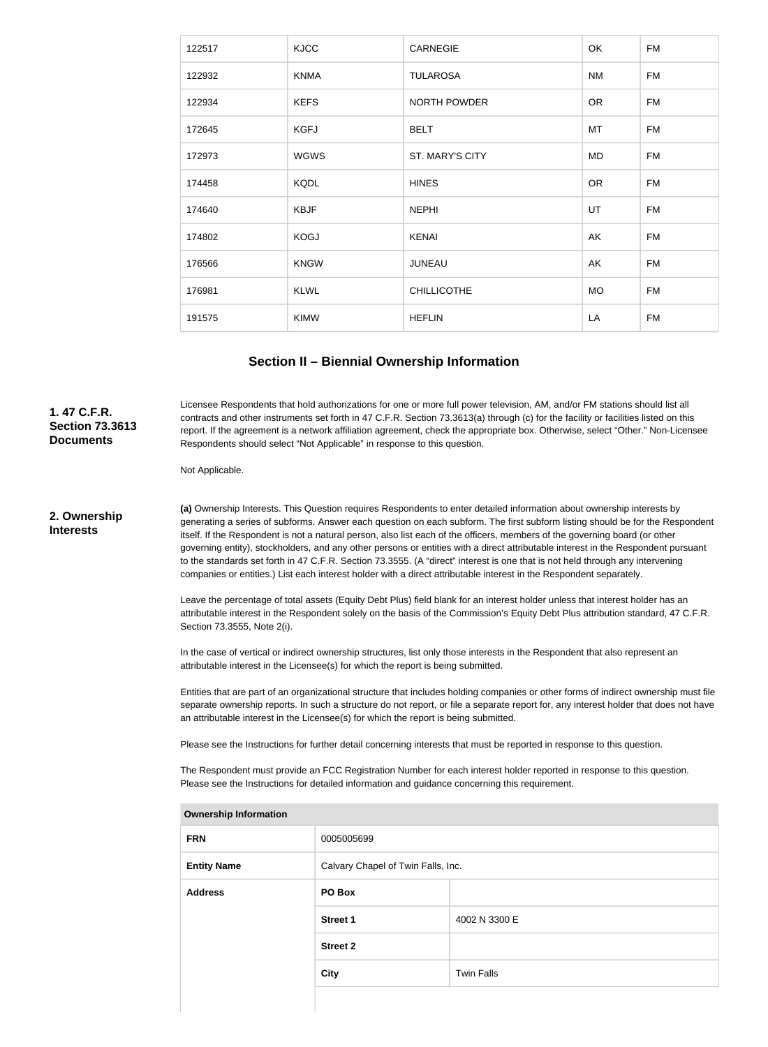| 122517 | <b>KJCC</b> | <b>CARNEGIE</b>     | OK        | <b>FM</b> |
|--------|-------------|---------------------|-----------|-----------|
| 122932 | <b>KNMA</b> | <b>TULAROSA</b>     | <b>NM</b> | <b>FM</b> |
| 122934 | <b>KEFS</b> | <b>NORTH POWDER</b> | <b>OR</b> | <b>FM</b> |
| 172645 | <b>KGFJ</b> | <b>BELT</b>         | MT        | <b>FM</b> |
| 172973 | <b>WGWS</b> | ST. MARY'S CITY     | MD        | <b>FM</b> |
| 174458 | <b>KQDL</b> | <b>HINES</b>        | <b>OR</b> | <b>FM</b> |
| 174640 | <b>KBJF</b> | <b>NEPHI</b>        | UT        | <b>FM</b> |
| 174802 | <b>KOGJ</b> | <b>KENAI</b>        | AK        | <b>FM</b> |
| 176566 | <b>KNGW</b> | <b>JUNEAU</b>       | AK        | <b>FM</b> |
| 176981 | <b>KLWL</b> | <b>CHILLICOTHE</b>  | <b>MO</b> | <b>FM</b> |
| 191575 | <b>KIMW</b> | <b>HEFLIN</b>       | LA        | <b>FM</b> |

### **Section II – Biennial Ownership Information**

Licensee Respondents that hold authorizations for one or more full power television, AM, and/or FM stations should list all contracts and other instruments set forth in 47 C.F.R. Section 73.3613(a) through (c) for the facility or facilities listed on this report. If the agreement is a network affiliation agreement, check the appropriate box. Otherwise, select "Other." Non-Licensee Respondents should select "Not Applicable" in response to this question.

Not Applicable.

**2. Ownership Interests**

**1. 47 C.F.R. Section 73.3613 Documents**

> **(a)** Ownership Interests. This Question requires Respondents to enter detailed information about ownership interests by generating a series of subforms. Answer each question on each subform. The first subform listing should be for the Respondent itself. If the Respondent is not a natural person, also list each of the officers, members of the governing board (or other governing entity), stockholders, and any other persons or entities with a direct attributable interest in the Respondent pursuant to the standards set forth in 47 C.F.R. Section 73.3555. (A "direct" interest is one that is not held through any intervening companies or entities.) List each interest holder with a direct attributable interest in the Respondent separately.

> Leave the percentage of total assets (Equity Debt Plus) field blank for an interest holder unless that interest holder has an attributable interest in the Respondent solely on the basis of the Commission's Equity Debt Plus attribution standard, 47 C.F.R. Section 73.3555, Note 2(i).

In the case of vertical or indirect ownership structures, list only those interests in the Respondent that also represent an attributable interest in the Licensee(s) for which the report is being submitted.

Entities that are part of an organizational structure that includes holding companies or other forms of indirect ownership must file separate ownership reports. In such a structure do not report, or file a separate report for, any interest holder that does not have an attributable interest in the Licensee(s) for which the report is being submitted.

Please see the Instructions for further detail concerning interests that must be reported in response to this question.

The Respondent must provide an FCC Registration Number for each interest holder reported in response to this question. Please see the Instructions for detailed information and guidance concerning this requirement.

| ווטוואווווטווווטוווווטוויוט |                                    |                   |  |
|-----------------------------|------------------------------------|-------------------|--|
| <b>FRN</b>                  | 0005005699                         |                   |  |
| <b>Entity Name</b>          | Calvary Chapel of Twin Falls, Inc. |                   |  |
| <b>Address</b>              | PO Box                             |                   |  |
|                             | <b>Street 1</b>                    | 4002 N 3300 E     |  |
|                             | <b>Street 2</b>                    |                   |  |
|                             | <b>City</b>                        | <b>Twin Falls</b> |  |
|                             |                                    |                   |  |

**Ownership Information**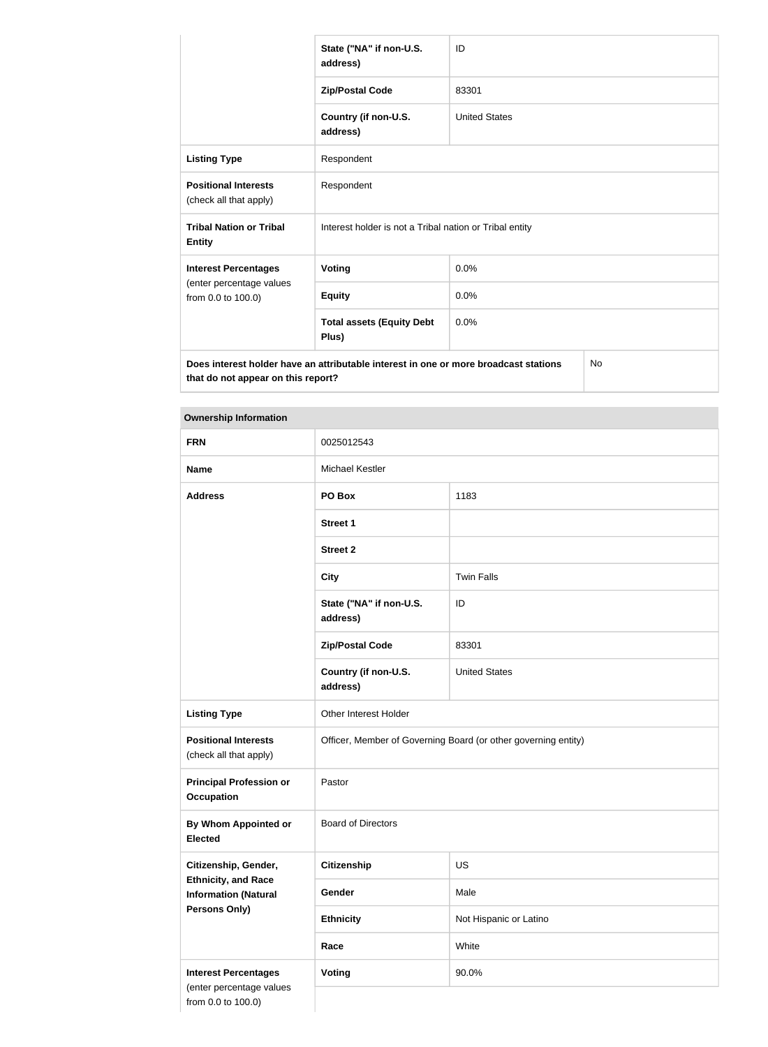|                                                                                                                                  | State ("NA" if non-U.S.<br>address)                     | ID                   |  |
|----------------------------------------------------------------------------------------------------------------------------------|---------------------------------------------------------|----------------------|--|
|                                                                                                                                  | <b>Zip/Postal Code</b>                                  | 83301                |  |
|                                                                                                                                  | Country (if non-U.S.<br>address)                        | <b>United States</b> |  |
| <b>Listing Type</b>                                                                                                              | Respondent                                              |                      |  |
| <b>Positional Interests</b><br>(check all that apply)                                                                            | Respondent                                              |                      |  |
| <b>Tribal Nation or Tribal</b><br><b>Entity</b>                                                                                  | Interest holder is not a Tribal nation or Tribal entity |                      |  |
| <b>Interest Percentages</b>                                                                                                      | <b>Voting</b>                                           | 0.0%                 |  |
| (enter percentage values<br>from 0.0 to 100.0)                                                                                   | <b>Equity</b>                                           | 0.0%                 |  |
|                                                                                                                                  | <b>Total assets (Equity Debt</b><br>Plus)               | 0.0%                 |  |
| Does interest holder have an attributable interest in one or more broadcast stations<br>No<br>that do not appear on this report? |                                                         |                      |  |

| <b>Ownership Information</b>                              |                                                                |                        |  |
|-----------------------------------------------------------|----------------------------------------------------------------|------------------------|--|
| <b>FRN</b>                                                | 0025012543                                                     |                        |  |
| <b>Name</b>                                               | <b>Michael Kestler</b>                                         |                        |  |
| <b>Address</b>                                            | PO Box                                                         | 1183                   |  |
|                                                           | <b>Street 1</b>                                                |                        |  |
|                                                           | <b>Street 2</b>                                                |                        |  |
|                                                           | <b>City</b>                                                    | <b>Twin Falls</b>      |  |
|                                                           | State ("NA" if non-U.S.<br>address)                            | ID                     |  |
|                                                           | <b>Zip/Postal Code</b>                                         | 83301                  |  |
|                                                           | Country (if non-U.S.<br>address)                               | <b>United States</b>   |  |
| <b>Listing Type</b>                                       | Other Interest Holder                                          |                        |  |
| <b>Positional Interests</b><br>(check all that apply)     | Officer, Member of Governing Board (or other governing entity) |                        |  |
| <b>Principal Profession or</b><br><b>Occupation</b>       | Pastor                                                         |                        |  |
| <b>By Whom Appointed or</b><br><b>Elected</b>             | <b>Board of Directors</b>                                      |                        |  |
| Citizenship, Gender,                                      | <b>Citizenship</b>                                             | <b>US</b>              |  |
| <b>Ethnicity, and Race</b><br><b>Information (Natural</b> | Gender                                                         | Male                   |  |
| Persons Only)                                             | <b>Ethnicity</b>                                               | Not Hispanic or Latino |  |
|                                                           | Race                                                           | White                  |  |
| <b>Interest Percentages</b>                               | Voting                                                         | 90.0%                  |  |
| (enter percentage values<br>from 0.0 to 100.0)            |                                                                |                        |  |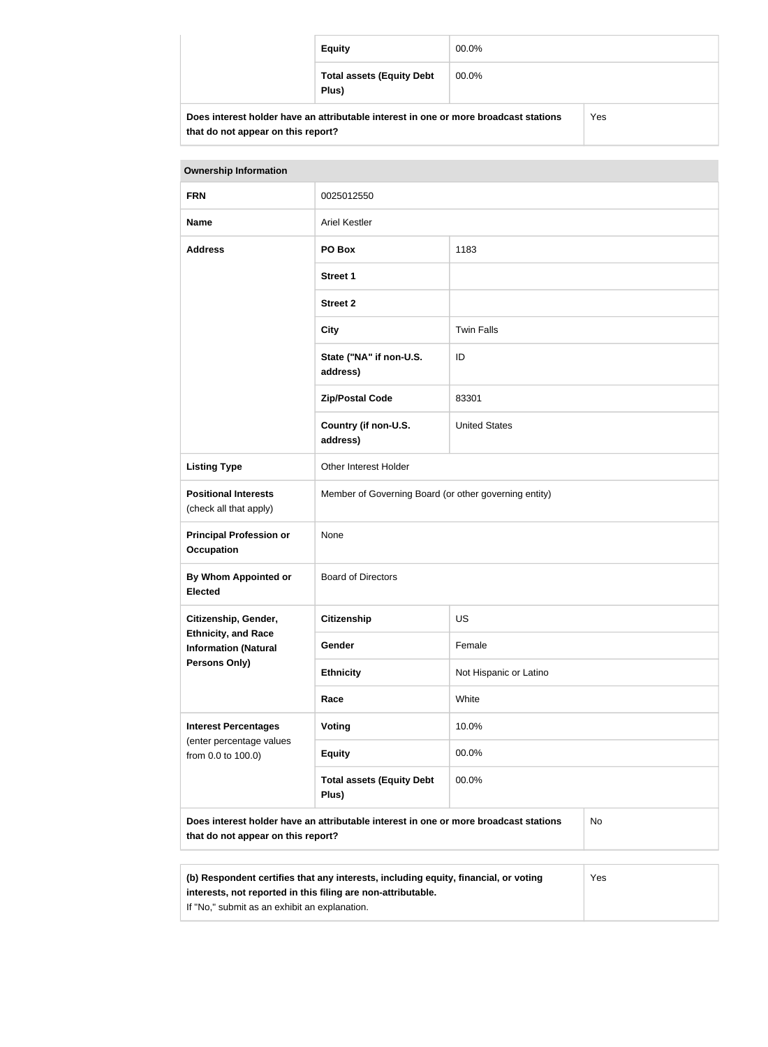|                                                                                      | <b>Equity</b>                             | 00.0% |     |
|--------------------------------------------------------------------------------------|-------------------------------------------|-------|-----|
|                                                                                      | <b>Total assets (Equity Debt</b><br>Plus) | 00.0% |     |
| Does interest holder have an attributable interest in one or more broadcast stations |                                           |       | Yes |

**that do not appear on this report?**

| <b>Ownership Information</b>                                                                                                     |                                                       |                        |  |
|----------------------------------------------------------------------------------------------------------------------------------|-------------------------------------------------------|------------------------|--|
| <b>FRN</b>                                                                                                                       | 0025012550                                            |                        |  |
| <b>Name</b>                                                                                                                      | <b>Ariel Kestler</b>                                  |                        |  |
| <b>Address</b>                                                                                                                   | PO Box                                                | 1183                   |  |
|                                                                                                                                  | <b>Street 1</b>                                       |                        |  |
|                                                                                                                                  | <b>Street 2</b>                                       |                        |  |
|                                                                                                                                  | <b>City</b>                                           | <b>Twin Falls</b>      |  |
|                                                                                                                                  | State ("NA" if non-U.S.<br>address)                   | ID                     |  |
|                                                                                                                                  | <b>Zip/Postal Code</b>                                | 83301                  |  |
|                                                                                                                                  | Country (if non-U.S.<br>address)                      | <b>United States</b>   |  |
| <b>Listing Type</b>                                                                                                              | Other Interest Holder                                 |                        |  |
| <b>Positional Interests</b><br>(check all that apply)                                                                            | Member of Governing Board (or other governing entity) |                        |  |
| <b>Principal Profession or</b><br><b>Occupation</b>                                                                              | None                                                  |                        |  |
| <b>By Whom Appointed or</b><br><b>Elected</b>                                                                                    | <b>Board of Directors</b>                             |                        |  |
| Citizenship, Gender,                                                                                                             | <b>Citizenship</b>                                    | <b>US</b>              |  |
| <b>Ethnicity, and Race</b><br><b>Information (Natural</b>                                                                        | Gender                                                | Female                 |  |
| Persons Only)                                                                                                                    | <b>Ethnicity</b>                                      | Not Hispanic or Latino |  |
|                                                                                                                                  | Race                                                  | White                  |  |
| <b>Interest Percentages</b><br>(enter percentage values<br>from 0.0 to 100.0)                                                    | Voting                                                | 10.0%                  |  |
|                                                                                                                                  | <b>Equity</b>                                         | 00.0%                  |  |
|                                                                                                                                  | <b>Total assets (Equity Debt</b><br>Plus)             | 00.0%                  |  |
| Does interest holder have an attributable interest in one or more broadcast stations<br>No<br>that do not appear on this report? |                                                       |                        |  |

| (b) Respondent certifies that any interests, including equity, financial, or voting | Yes |
|-------------------------------------------------------------------------------------|-----|
| interests, not reported in this filing are non-attributable.                        |     |
| If "No," submit as an exhibit an explanation.                                       |     |